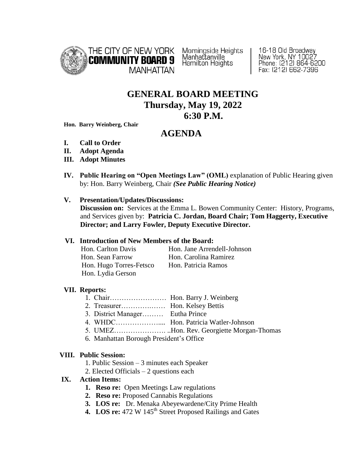

Morningside Heights<br>Manhattanville Hamilton Heights

16-18 Old Broadway New York, NY 10027<br>Phone: (212) 864-6200 Fax: (212) 662-7396

# **GENERAL BOARD MEETING Thursday, May 19, 2022 6:30 P.M.**

**Hon. Barry Weinberg, Chair**

# **AGENDA**

- **I. Call to Order**
- **II. Adopt Agenda**
- **III. Adopt Minutes**
- **IV. Public Hearing on "Open Meetings Law" (OML)** explanation of Public Hearing given by: Hon. Barry Weinberg, Chair *(See Public Hearing Notice)*

#### **V. Presentation/Updates/Discussions:**

 **Discussion on:** Services at the Emma L. Bowen Community Center: History, Programs, and Services given by: **Patricia C. Jordan, Board Chair; Tom Haggerty, Executive Director; and Larry Fowler, Deputy Executive Director.** 

## **VI. Introduction of New Members of the Board:**

| Hon. Carlton Davis      | Hon. Jane Arrendell-Johnson |
|-------------------------|-----------------------------|
| Hon. Sean Farrow        | Hon. Carolina Ramirez       |
| Hon. Hugo Torres-Fetsco | Hon. Patricia Ramos         |
| Hon. Lydia Gerson       |                             |

# **VII. Reports:**

- 1. Chair…………………… Hon. Barry J. Weinberg
- 2. Treasurer………….…… Hon. Kelsey Bettis
- 3. District Manager……… Eutha Prince
- 4. WHDC……………….... Hon. Patricia Watler-Johnson
- 5. UMEZ…………………. ..Hon. Rev. Georgiette Morgan-Thomas
- 6. Manhattan Borough President's Office

#### **VIII. Public Session:**

- 1. Public Session 3 minutes each Speaker
- 2. Elected Officials 2 questions each

# **IX. Action Items:**

- **1. Reso re:** Open Meetings Law regulations
- **2. Reso re:** Proposed Cannabis Regulations
- **3. LOS re:** Dr. Menaka Abeyewardene/City Prime Health
- 4. LOS re: 472 W 145<sup>th</sup> Street Proposed Railings and Gates